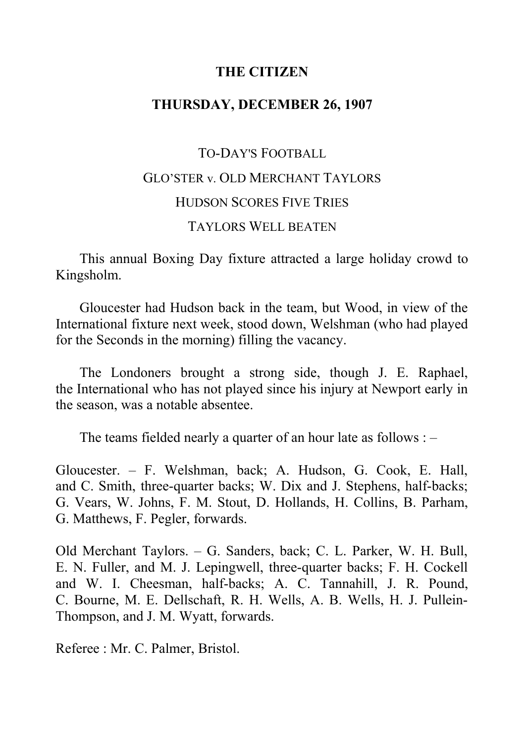# **THE CITIZEN**

# **THURSDAY, DECEMBER 26, 1907**

# TO-DAY'S FOOTBALL GLO'STER v. OLD MERCHANT TAYLORS HUDSON SCORES FIVE TRIES TAYLORS WELL BEATEN

This annual Boxing Day fixture attracted a large holiday crowd to Kingsholm.

Gloucester had Hudson back in the team, but Wood, in view of the International fixture next week, stood down, Welshman (who had played for the Seconds in the morning) filling the vacancy.

The Londoners brought a strong side, though J. E. Raphael, the International who has not played since his injury at Newport early in the season, was a notable absentee.

The teams fielded nearly a quarter of an hour late as follows :  $-$ 

Gloucester. ‒ F. Welshman, back; A. Hudson, G. Cook, E. Hall, and C. Smith, three-quarter backs; W. Dix and J. Stephens, half-backs; G. Vears, W. Johns, F. M. Stout, D. Hollands, H. Collins, B. Parham, G. Matthews, F. Pegler, forwards.

Old Merchant Taylors. ‒ G. Sanders, back; C. L. Parker, W. H. Bull, E. N. Fuller, and M. J. Lepingwell, three-quarter backs; F. H. Cockell and W. I. Cheesman, half-backs; A. C. Tannahill, J. R. Pound, C. Bourne, M. E. Dellschaft, R. H. Wells, A. B. Wells, H. J. Pullein-Thompson, and J. M. Wyatt, forwards.

Referee : Mr. C. Palmer, Bristol.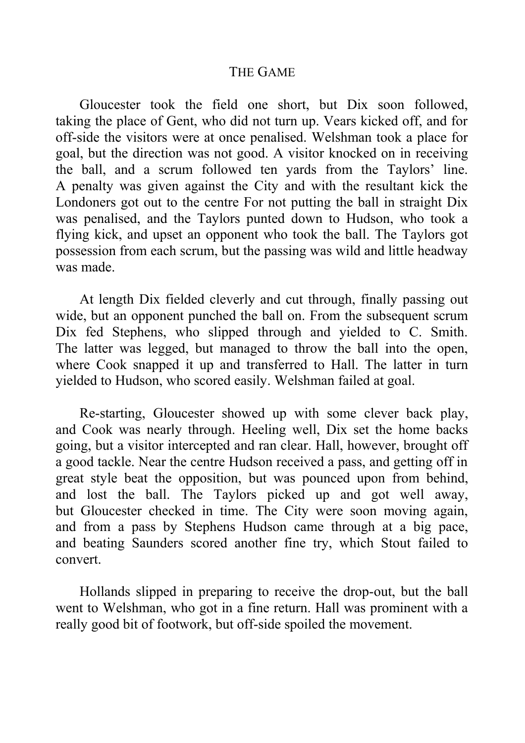#### THE GAME

Gloucester took the field one short, but Dix soon followed, taking the place of Gent, who did not turn up. Vears kicked off, and for off-side the visitors were at once penalised. Welshman took a place for goal, but the direction was not good. A visitor knocked on in receiving the ball, and a scrum followed ten yards from the Taylors' line. A penalty was given against the City and with the resultant kick the Londoners got out to the centre For not putting the ball in straight Dix was penalised, and the Taylors punted down to Hudson, who took a flying kick, and upset an opponent who took the ball. The Taylors got possession from each scrum, but the passing was wild and little headway was made.

At length Dix fielded cleverly and cut through, finally passing out wide, but an opponent punched the ball on. From the subsequent scrum Dix fed Stephens, who slipped through and yielded to C. Smith. The latter was legged, but managed to throw the ball into the open, where Cook snapped it up and transferred to Hall. The latter in turn yielded to Hudson, who scored easily. Welshman failed at goal.

Re-starting, Gloucester showed up with some clever back play, and Cook was nearly through. Heeling well, Dix set the home backs going, but a visitor intercepted and ran clear. Hall, however, brought off a good tackle. Near the centre Hudson received a pass, and getting off in great style beat the opposition, but was pounced upon from behind, and lost the ball. The Taylors picked up and got well away, but Gloucester checked in time. The City were soon moving again, and from a pass by Stephens Hudson came through at a big pace, and beating Saunders scored another fine try, which Stout failed to convert.

Hollands slipped in preparing to receive the drop-out, but the ball went to Welshman, who got in a fine return. Hall was prominent with a really good bit of footwork, but off-side spoiled the movement.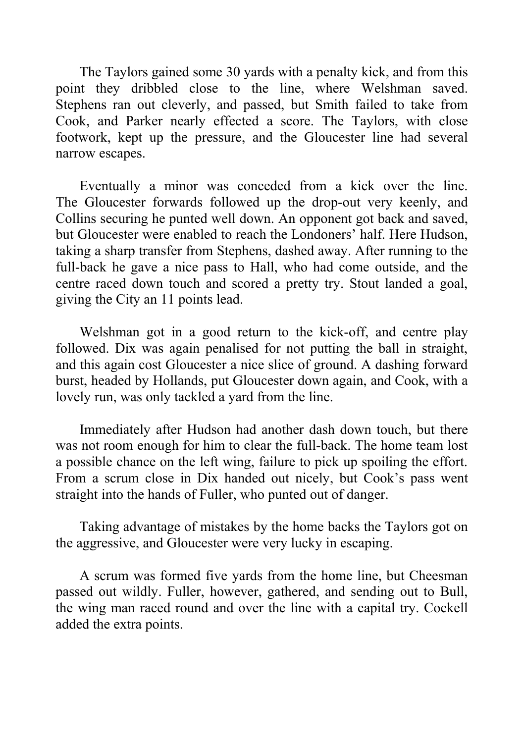The Taylors gained some 30 yards with a penalty kick, and from this point they dribbled close to the line, where Welshman saved. Stephens ran out cleverly, and passed, but Smith failed to take from Cook, and Parker nearly effected a score. The Taylors, with close footwork, kept up the pressure, and the Gloucester line had several narrow escapes.

Eventually a minor was conceded from a kick over the line. The Gloucester forwards followed up the drop-out very keenly, and Collins securing he punted well down. An opponent got back and saved, but Gloucester were enabled to reach the Londoners' half. Here Hudson, taking a sharp transfer from Stephens, dashed away. After running to the full-back he gave a nice pass to Hall, who had come outside, and the centre raced down touch and scored a pretty try. Stout landed a goal, giving the City an 11 points lead.

Welshman got in a good return to the kick-off, and centre play followed. Dix was again penalised for not putting the ball in straight, and this again cost Gloucester a nice slice of ground. A dashing forward burst, headed by Hollands, put Gloucester down again, and Cook, with a lovely run, was only tackled a yard from the line.

Immediately after Hudson had another dash down touch, but there was not room enough for him to clear the full-back. The home team lost a possible chance on the left wing, failure to pick up spoiling the effort. From a scrum close in Dix handed out nicely, but Cook's pass went straight into the hands of Fuller, who punted out of danger.

Taking advantage of mistakes by the home backs the Taylors got on the aggressive, and Gloucester were very lucky in escaping.

A scrum was formed five yards from the home line, but Cheesman passed out wildly. Fuller, however, gathered, and sending out to Bull, the wing man raced round and over the line with a capital try. Cockell added the extra points.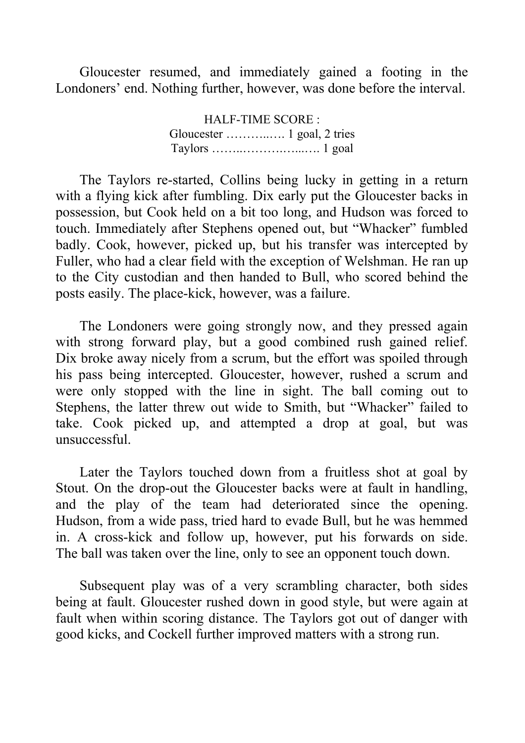Gloucester resumed, and immediately gained a footing in the Londoners' end. Nothing further, however, was done before the interval.

> HALF-TIME SCORE : Gloucester ………..…. 1 goal, 2 tries Taylors ……..……….…...…. 1 goal

The Taylors re-started, Collins being lucky in getting in a return with a flying kick after fumbling. Dix early put the Gloucester backs in possession, but Cook held on a bit too long, and Hudson was forced to touch. Immediately after Stephens opened out, but "Whacker" fumbled badly. Cook, however, picked up, but his transfer was intercepted by Fuller, who had a clear field with the exception of Welshman. He ran up to the City custodian and then handed to Bull, who scored behind the posts easily. The place-kick, however, was a failure.

The Londoners were going strongly now, and they pressed again with strong forward play, but a good combined rush gained relief. Dix broke away nicely from a scrum, but the effort was spoiled through his pass being intercepted. Gloucester, however, rushed a scrum and were only stopped with the line in sight. The ball coming out to Stephens, the latter threw out wide to Smith, but "Whacker" failed to take. Cook picked up, and attempted a drop at goal, but was unsuccessful.

Later the Taylors touched down from a fruitless shot at goal by Stout. On the drop-out the Gloucester backs were at fault in handling, and the play of the team had deteriorated since the opening. Hudson, from a wide pass, tried hard to evade Bull, but he was hemmed in. A cross-kick and follow up, however, put his forwards on side. The ball was taken over the line, only to see an opponent touch down.

Subsequent play was of a very scrambling character, both sides being at fault. Gloucester rushed down in good style, but were again at fault when within scoring distance. The Taylors got out of danger with good kicks, and Cockell further improved matters with a strong run.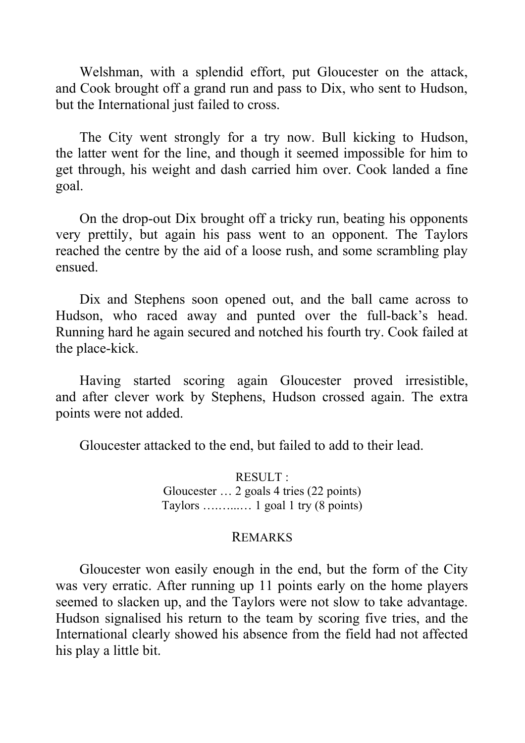Welshman, with a splendid effort, put Gloucester on the attack, and Cook brought off a grand run and pass to Dix, who sent to Hudson, but the International just failed to cross.

The City went strongly for a try now. Bull kicking to Hudson, the latter went for the line, and though it seemed impossible for him to get through, his weight and dash carried him over. Cook landed a fine goal.

On the drop-out Dix brought off a tricky run, beating his opponents very prettily, but again his pass went to an opponent. The Taylors reached the centre by the aid of a loose rush, and some scrambling play ensued.

Dix and Stephens soon opened out, and the ball came across to Hudson, who raced away and punted over the full-back's head. Running hard he again secured and notched his fourth try. Cook failed at the place-kick.

Having started scoring again Gloucester proved irresistible, and after clever work by Stephens, Hudson crossed again. The extra points were not added.

Gloucester attacked to the end, but failed to add to their lead.

RESULT : Gloucester … 2 goals 4 tries (22 points) Taylors ….…...… 1 goal 1 try (8 points)

#### REMARKS

Gloucester won easily enough in the end, but the form of the City was very erratic. After running up 11 points early on the home players seemed to slacken up, and the Taylors were not slow to take advantage. Hudson signalised his return to the team by scoring five tries, and the International clearly showed his absence from the field had not affected his play a little bit.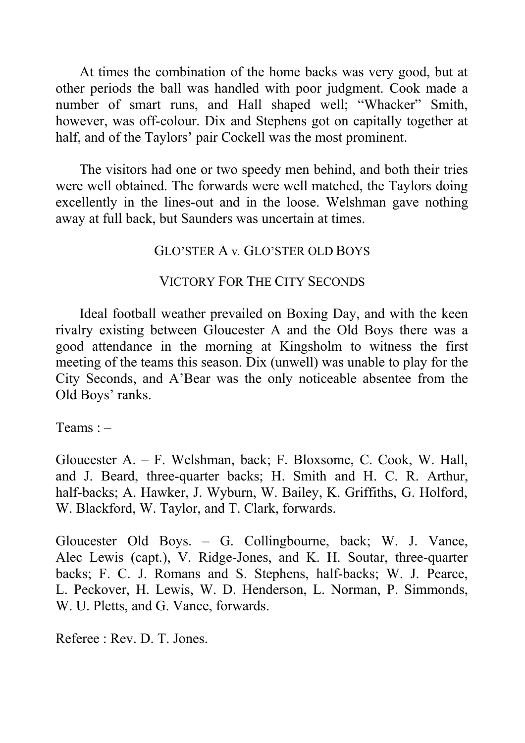At times the combination of the home backs was very good, but at other periods the ball was handled with poor judgment. Cook made a number of smart runs, and Hall shaped well; "Whacker" Smith, however, was off-colour. Dix and Stephens got on capitally together at half, and of the Taylors' pair Cockell was the most prominent.

The visitors had one or two speedy men behind, and both their tries were well obtained. The forwards were well matched, the Taylors doing excellently in the lines-out and in the loose. Welshman gave nothing away at full back, but Saunders was uncertain at times.

### GLO'STER A v*.* GLO'STER OLD BOYS

# VICTORY FOR THE CITY SECONDS

Ideal football weather prevailed on Boxing Day, and with the keen rivalry existing between Gloucester A and the Old Boys there was a good attendance in the morning at Kingsholm to witness the first meeting of the teams this season. Dix (unwell) was unable to play for the City Seconds, and A'Bear was the only noticeable absentee from the Old Boys' ranks.

Teams  $: -$ 

Gloucester A. ‒ F. Welshman, back; F. Bloxsome, C. Cook, W. Hall, and J. Beard, three-quarter backs; H. Smith and H. C. R. Arthur, half-backs; A. Hawker, J. Wyburn, W. Bailey, K. Griffiths, G. Holford, W. Blackford, W. Taylor, and T. Clark, forwards.

Gloucester Old Boys. – G. Collingbourne, back; W. J. Vance, Alec Lewis (capt.), V. Ridge-Jones, and K. H. Soutar, three-quarter backs; F. C. J. Romans and S. Stephens, half-backs; W. J. Pearce, L. Peckover, H. Lewis, W. D. Henderson, L. Norman, P. Simmonds, W. U. Pletts, and G. Vance, forwards.

Referee : Rev. D. T. Jones.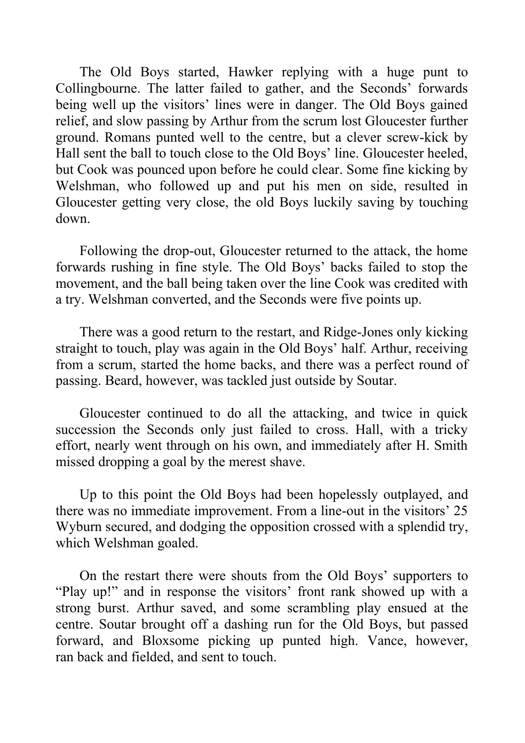The Old Boys started, Hawker replying with a huge punt to Collingbourne. The latter failed to gather, and the Seconds' forwards being well up the visitors' lines were in danger. The Old Boys gained relief, and slow passing by Arthur from the scrum lost Gloucester further ground. Romans punted well to the centre, but a clever screw-kick by Hall sent the ball to touch close to the Old Boys' line. Gloucester heeled, but Cook was pounced upon before he could clear. Some fine kicking by Welshman, who followed up and put his men on side, resulted in Gloucester getting very close, the old Boys luckily saving by touching down.

Following the drop-out, Gloucester returned to the attack, the home forwards rushing in fine style. The Old Boys' backs failed to stop the movement, and the ball being taken over the line Cook was credited with a try. Welshman converted, and the Seconds were five points up.

There was a good return to the restart, and Ridge-Jones only kicking straight to touch, play was again in the Old Boys' half. Arthur, receiving from a scrum, started the home backs, and there was a perfect round of passing. Beard, however, was tackled just outside by Soutar.

Gloucester continued to do all the attacking, and twice in quick succession the Seconds only just failed to cross. Hall, with a tricky effort, nearly went through on his own, and immediately after H. Smith missed dropping a goal by the merest shave.

Up to this point the Old Boys had been hopelessly outplayed, and there was no immediate improvement. From a line-out in the visitors' 25 Wyburn secured, and dodging the opposition crossed with a splendid try, which Welshman goaled.

On the restart there were shouts from the Old Boys' supporters to "Play up!" and in response the visitors' front rank showed up with a strong burst. Arthur saved, and some scrambling play ensued at the centre. Soutar brought off a dashing run for the Old Boys, but passed forward, and Bloxsome picking up punted high. Vance, however, ran back and fielded, and sent to touch.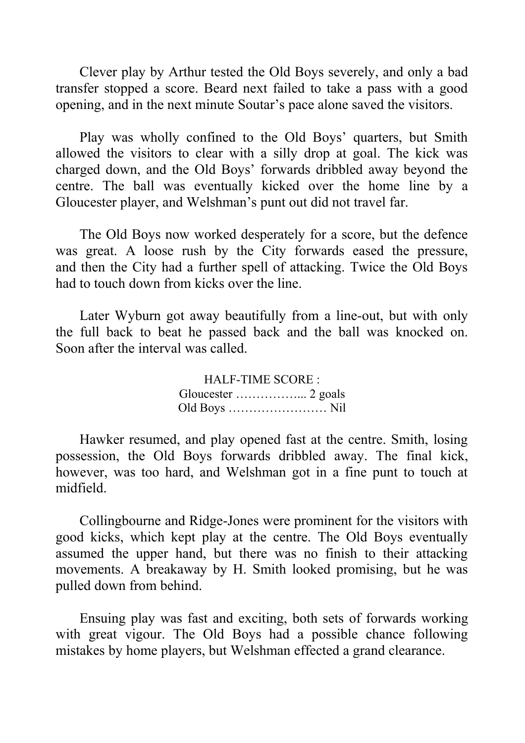Clever play by Arthur tested the Old Boys severely, and only a bad transfer stopped a score. Beard next failed to take a pass with a good opening, and in the next minute Soutar's pace alone saved the visitors.

Play was wholly confined to the Old Boys' quarters, but Smith allowed the visitors to clear with a silly drop at goal. The kick was charged down, and the Old Boys' forwards dribbled away beyond the centre. The ball was eventually kicked over the home line by a Gloucester player, and Welshman's punt out did not travel far.

The Old Boys now worked desperately for a score, but the defence was great. A loose rush by the City forwards eased the pressure, and then the City had a further spell of attacking. Twice the Old Boys had to touch down from kicks over the line.

Later Wyburn got away beautifully from a line-out, but with only the full back to beat he passed back and the ball was knocked on. Soon after the interval was called.

> HALF-TIME SCORE : Gloucester ……………... 2 goals Old Boys …………………… Nil

Hawker resumed, and play opened fast at the centre. Smith, losing possession, the Old Boys forwards dribbled away. The final kick, however, was too hard, and Welshman got in a fine punt to touch at midfield.

Collingbourne and Ridge-Jones were prominent for the visitors with good kicks, which kept play at the centre. The Old Boys eventually assumed the upper hand, but there was no finish to their attacking movements. A breakaway by H. Smith looked promising, but he was pulled down from behind.

Ensuing play was fast and exciting, both sets of forwards working with great vigour. The Old Boys had a possible chance following mistakes by home players, but Welshman effected a grand clearance.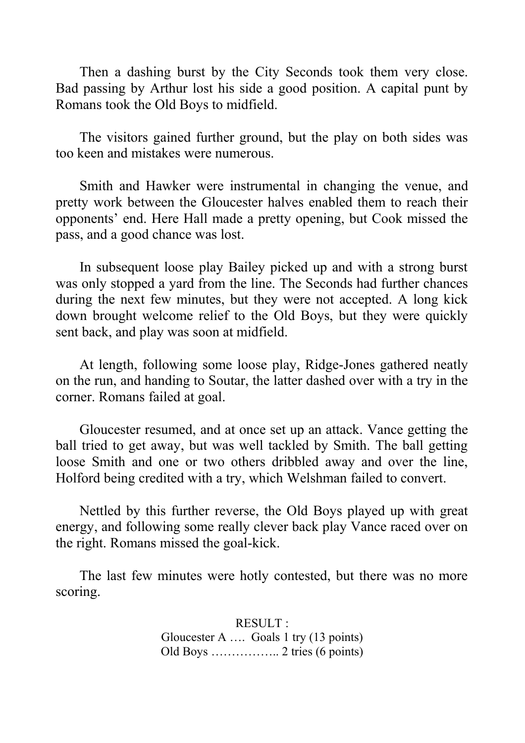Then a dashing burst by the City Seconds took them very close. Bad passing by Arthur lost his side a good position. A capital punt by Romans took the Old Boys to midfield.

The visitors gained further ground, but the play on both sides was too keen and mistakes were numerous.

Smith and Hawker were instrumental in changing the venue, and pretty work between the Gloucester halves enabled them to reach their opponents' end. Here Hall made a pretty opening, but Cook missed the pass, and a good chance was lost.

In subsequent loose play Bailey picked up and with a strong burst was only stopped a yard from the line. The Seconds had further chances during the next few minutes, but they were not accepted. A long kick down brought welcome relief to the Old Boys, but they were quickly sent back, and play was soon at midfield.

At length, following some loose play, Ridge-Jones gathered neatly on the run, and handing to Soutar, the latter dashed over with a try in the corner. Romans failed at goal.

Gloucester resumed, and at once set up an attack. Vance getting the ball tried to get away, but was well tackled by Smith. The ball getting loose Smith and one or two others dribbled away and over the line, Holford being credited with a try, which Welshman failed to convert.

Nettled by this further reverse, the Old Boys played up with great energy, and following some really clever back play Vance raced over on the right. Romans missed the goal-kick.

The last few minutes were hotly contested, but there was no more scoring.

> RESULT : Gloucester A …. Goals 1 try (13 points) Old Boys …………….. 2 tries (6 points)